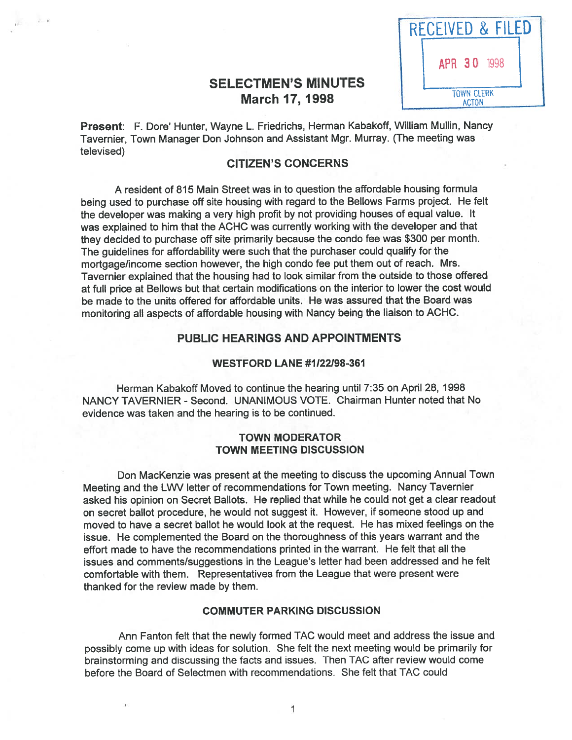# **SELECTMEN'S MINUTES** March 17, 1998



Present: F. Dore' Hunter, Wayne L. Friedrichs, Herman Kabakoff, William Mullin, Nancy Tavernier, Town Manager Don Johnson and Assistant Mgr. Murray. (The meeting was televised)

 $\frac{1}{2}$  ,  $\frac{1}{2}$  ,  $\frac{1}{2}$  ,  $\frac{1}{2}$ 

#### CITiZEN'S CONCERNS

A resident of 815 Main Street was in to question the affordable housing formula being used to purchase off site housing with regar<sup>d</sup> to the Bellows Farms project. He felt the developer was making <sup>a</sup> very high profit by not providing houses of equa<sup>l</sup> value. It was explained to him that the ACHC was currently working with the developer and that they decided to purchase off site primarily because the condo fee was \$300 per month. The guidelines for affordability were such that the purchaser could qualify for the mortgage/income section however, the high condo fee pu<sup>t</sup> them out of reach. Mrs. Tavernier explained that the housing had to look similar from the outside to those offered at full price at Bellows but that certain modifications on the interior to lower the cost would be made to the units offered for affordable units. He was assured that the Board was monitoring all aspects of affordable housing with Nancy being the liaison to ACHC.

#### PUBLIC HEARINGS AND APPOINTMENTS

#### WESTFORD LANE #1122198-361

Herman Kabakoff Moved to continue the hearing until 7:35 on April 28, 1998 NANCY TAVERNIER - Second. UNANIMOUS VOTE. Chairman Hunter noted that No evidence was taken and the hearing is to be continued.

#### TOWN MODERATOR TOWN MEETING DISCUSSION

Don Mackenzie was presen<sup>t</sup> at the meeting to discuss the upcoming Annual Town Meeting and the L'MJ letter of recommendations for Town meeting. Nancy Tavernier asked his opinion on Secret Ballots. He replied that while he could not get a clear readout on secret ballot procedure, he would not sugges<sup>t</sup> it. However, if someone stood up and moved to have <sup>a</sup> secret ballot he would look at the request. He has mixed feelings on the issue. He complemented the Board on the thoroughness of this years warrant and the effort made to have the recommendations printed in the warrant. He felt that all the issues and comments/suggestions in the League's letter had been addressed and he felt comfortable with them. Representatives from the League that were presen<sup>t</sup> were thanked for the review made by them.

#### COMMUTER PARKING DISCUSSION

Ann Fanton felt that the newly formed TAC would meet and address the issue and possibly come up with ideas for solution. She felt the next meeting would be primarily for brainstorming and discussing the facts and issues. Then TAC after review would come before the Board of Selectmen with recommendations. She felt that TAO could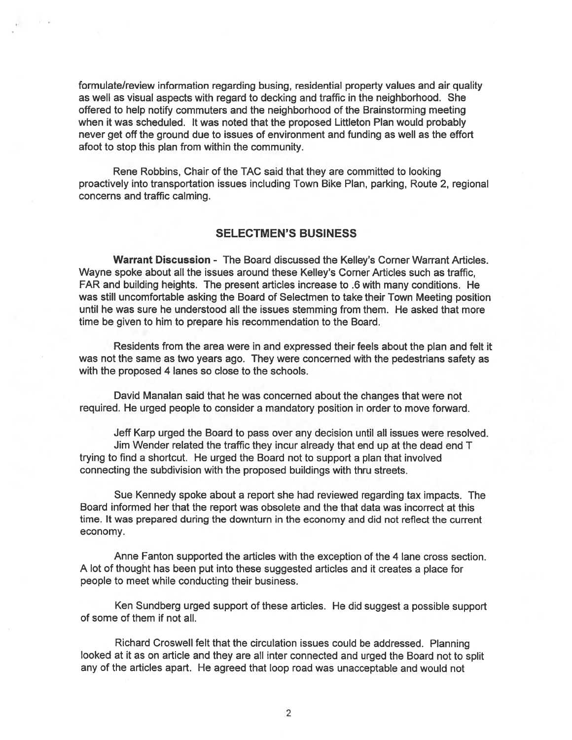formulate/review information regarding busing, residential property values and air quality as well as visual aspects with regard to decking and traffic in the neighborhood. She offered to help notify commuters and the neighborhood of the Brainstorming meeting when it was scheduled. It was noted that the proposed Littleton Plan would probably never ge<sup>t</sup> off the ground due to issues of environment and funding as well as the effort afoot to stop this plan from within the community.

Rene Robbins, Chair of the TAC said that they are committed to looking proactively into transportation issues including Town Bike Plan, parking, Route 2, regional concerns and traffic calming.

#### SELECTMEN'S BUSINESS

Warrant Discussion - The Board discussed the Kelley's Corner Warrant Articles. Wayne spoke about all the issues around these Kelley's Corner Articles such as traffic, FAR and building heights. The presen<sup>t</sup> articles increase to .6 with many conditions. He was still uncomfortable asking the Board of Selectmen to take their Town Meeting position until he was sure he understood all the issues stemming from them. He asked that more time be given to him to prepare his recommendation to the Board.

Residents from the area were in and expressed their feels about the plan and felt it was not the same as two years ago. They were concerned with the pedestrians safety as with the proposed 4 lanes so close to the schools.

David Manalan said that he was concerned about the changes that were not required. He urged people to consider <sup>a</sup> mandatory position in order to move forward.

Jeff Karp urged the Board to pass over any decision until all issues were resolved. Jim Wender related the traffic they incur already that end up at the dead end T trying to find <sup>a</sup> shortcut. He urged the Board not to suppor<sup>t</sup> <sup>a</sup> plan that involved connecting the subdivision with the proposed buildings with thru streets.

Sue Kennedy spoke about <sup>a</sup> repor<sup>t</sup> she had reviewed regarding tax impacts. The Board informed her that the repor<sup>t</sup> was obsolete and the that data was incorrect at this time. It was prepared during the downturn in the economy and did not reflect the current economy.

Anne Fanton supported the articles with the exception of the 4 lane cross section. <sup>A</sup> lot of thought has been pu<sup>t</sup> into these suggested articles and it creates <sup>a</sup> <sup>p</sup>lace for people to meet while conducting their business.

Ken Sundberg urged suppor<sup>t</sup> of these articles. He did sugges<sup>t</sup> <sup>a</sup> possible suppor<sup>t</sup> of some of them if not all.

Richard Croswell felt that the circulation issues could be addressed. Planning looked at it as on article and they are all inter connected and urge<sup>d</sup> the Board not to split any of the articles apart. He agreed that loop road was unacceptable and would not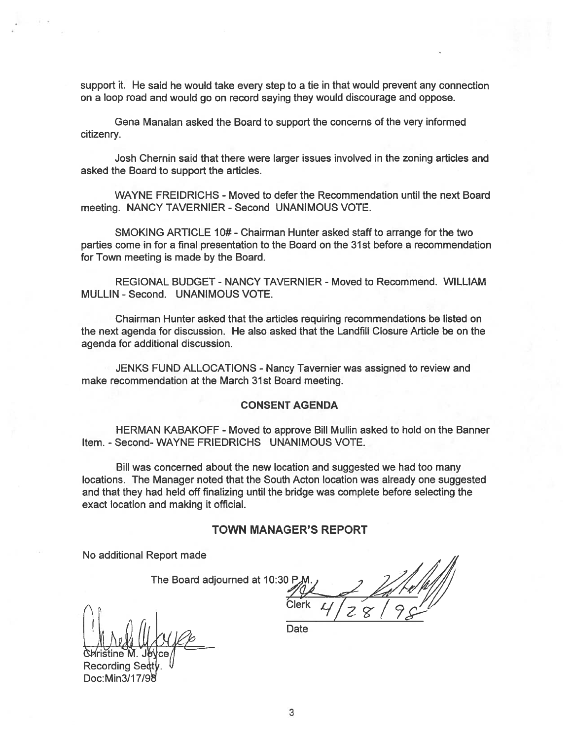suppor<sup>t</sup> it. He said he would take every step to <sup>a</sup> tie in that would preven<sup>t</sup> any connection on <sup>a</sup> loop road and would go on record saying they would discourage and oppose.

Gena Manalan asked the Board to suppor<sup>t</sup> the concerns of the very informed citizenry.

Josh Chernin said that there were larger issues involved in the zoning articles and asked the Board to suppor<sup>t</sup> the articles.

WAYNE FREIDRICHS - Moved to defer the Recommendation until the next Board meeting. NANCY TAVERNIER - Second UNANIMOUS VOTE.

SMOKING ARTICLE 10# - Chairman Hunter asked staff to arrange for the two parties come in for <sup>a</sup> final presentation to the Board on the 31st before <sup>a</sup> recommendation for Town meeting is made by the Board.

REGIONAL BUDGET - NANCY TAVERNIER -Moved to Recommend. WILLIAM MULLIN - Second. UNANIMOUS VOTE.

Chairman Hunter asked that the articles requiring recommendations be listed on the next agenda for discussion. He also asked that the Landfill Closure Article be on the agenda for additional discussion.

JENKS FUND ALLOCATIONS - Nancy Tavernier was assigned to review and make recommendation at the March 31st Board meeting.

#### CONSENT AGENDA

HERMAN KABAKOFF - Moved to approve Bill Mullin asked to hold on the Banner Item. - Second- WAYNE FRIEDRICHS UNANIMOUS VOTE.

Bill was concerned about the new location and suggested we had too many locations. The Manager noted that the South Acton location was already one suggested and that they had held off finalizing until the bridge was complete before selecting the exact location and making it official.

#### TOWN MANAGER'S REPORT

No additional Report made

The Board adjourned at 10:30 P.M

 $\left[\begin{array}{ccc} 1 & 1 \\ 1 & 1 \end{array}\right]$   $\left[\begin{array}{ccc} 1 & 1 \\ 1 & 1 \end{array}\right]$   $\left[\begin{array}{ccc} 1 & 1 \\ 1 & 1 \end{array}\right]$   $\left[\begin{array}{ccc} 1 & 1 \\ 1 & 1 \end{array}\right]$ 

ristine M. Jevce Recording Se Doc:Min3/17/9

Clerk  $4/28/$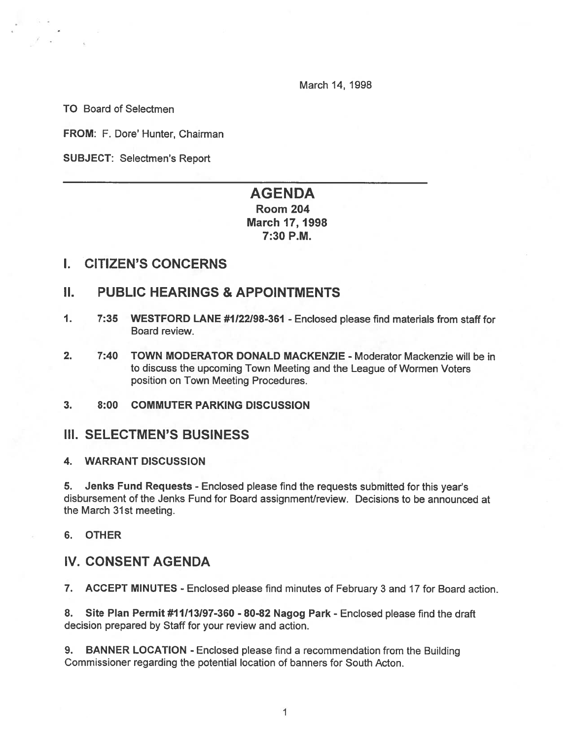March 14, 1998

TO Board of Selectmen

FROM: F. Dore' Hunter, Chairman

SUBJECT: Selectmen's Report

# AGENDA Room 204 March 17, 1998 7:30 P.M.

### I. CITIZEN'S CONCERNS

# II. PUBLIC HEARINGS & APPOINTMENTS

- 1. 7:35 WESTFORD LANE #1122198-361 Enclosed please find materials from staff for Board review.
- 2. 7:40 TOWN MODERATOR DONALD MACKENZIE Moderator Mackenzie will be in to discuss the upcoming Town Meeting and the League of Wormen Voters position on Town Meeting Procedures.

#### 3. 8:00 COMMUTER PARKING DISCUSSION

### III. SELECTMEN'S BUSINESS

#### 4. WARRANT DISCUSSION

5. Jenks Fund Requests - Enclosed <sup>p</sup>lease find the requests submitted for this year's disbursement of the Jenks Fund for Board assignment/review. Decisions to be announced at the March 31st meeting.

#### 6. OTHER

# IV. CONSENT AGENDA

7. ACCEPT MINUTES - Enclosed please find minutes of February 3 and 17 for Board action.

8. Site Plan Permit #11113197-360 - 80-82 Nagog Park -Enclosed <sup>p</sup>lease find the draft decision prepared by Staff for your review and action.

9. BANNER LOCATION - Enclosed please find a recommendation from the Building Commissioner regarding the potential location of banners for South Acton.